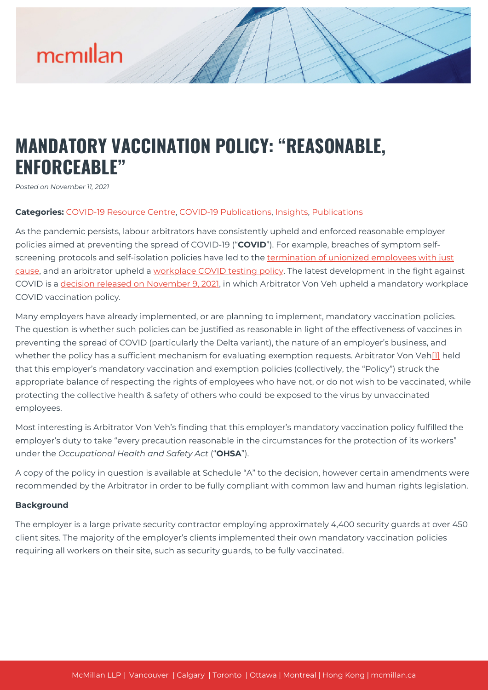# mcmillan

## **MANDATORY VACCINATION POLICY: "REASONABLE, ENFORCEABLE"**

*Posted on November 11, 2021*

#### **Categories:** [COVID-19 Resource Centre](https://mcmillan.ca/covid-19-resource-centre/), [COVID-19 Publications](https://mcmillan.ca/covid-19-resource-centre/covid-19-publications/), [Insights,](https://mcmillan.ca/insights/) [Publications](https://mcmillan.ca/insights/publications/)

As the pandemic persists, labour arbitrators have consistently upheld and enforced reasonable employer policies aimed at preventing the spread of COVID-19 ("**COVID**"). For example, breaches of symptom selfscreening protocols and self-isolation policies have led to the [termination of unionized employees with just](https://mcmillan.ca/insights/sick-lies-and-questionnaire-arbitrators-uphold-terminations-of-employees-who-breached-covid-19-safety-protocols/) [cause,](https://mcmillan.ca/insights/sick-lies-and-questionnaire-arbitrators-uphold-terminations-of-employees-who-breached-covid-19-safety-protocols/) and an arbitrator upheld a [workplace COVID testing policy.](https://mcmillan.ca/insights/mandatory-workplace-covid-19-testing-policy-upheld/) The latest development in the fight against COVID is a [decision released on November 9, 2021](https://mcmillan.ca/wp-content/uploads/2021/11/Vaccine-Mandate-decision-UFCW-Local-333-v-Paragon-Policy-Grievance-1.pdf), in which Arbitrator Von Veh upheld a mandatory workplace COVID vaccination policy.

Many employers have already implemented, or are planning to implement, mandatory vaccination policies. The question is whether such policies can be justified as reasonable in light of the effectiveness of vaccines in preventing the spread of COVID (particularly the Delta variant), the nature of an employer's business, and whether the policy has a sufficient mechanism for evaluating exemption requests. Arbitrator Von Veh[\[1\]](#page--1-0) held that this employer's mandatory vaccination and exemption policies (collectively, the "Policy") struck the appropriate balance of respecting the rights of employees who have not, or do not wish to be vaccinated, while protecting the collective health & safety of others who could be exposed to the virus by unvaccinated employees.

Most interesting is Arbitrator Von Veh's finding that this employer's mandatory vaccination policy fulfilled the employer's duty to take "every precaution reasonable in the circumstances for the protection of its workers" under the *Occupational Health and Safety Act* ("**OHSA**").

A copy of the policy in question is available at Schedule "A" to the decision, however certain amendments were recommended by the Arbitrator in order to be fully compliant with common law and human rights legislation.

#### **Background**

The employer is a large private security contractor employing approximately 4,400 security guards at over 450 client sites. The majority of the employer's clients implemented their own mandatory vaccination policies requiring all workers on their site, such as security guards, to be fully vaccinated.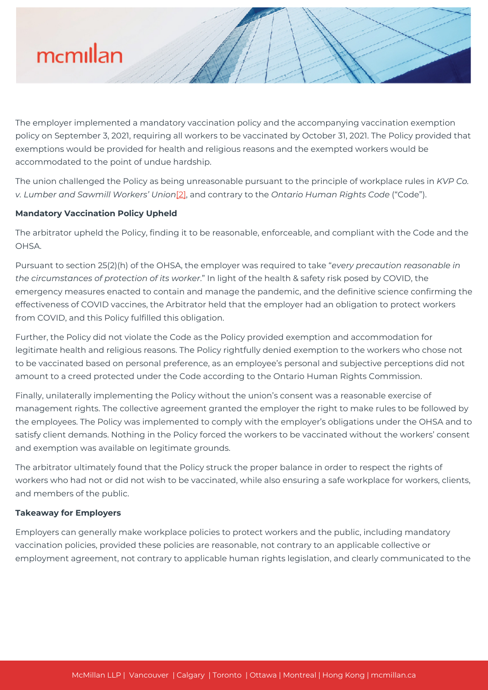

The employer implemented a mandatory vaccination policy and the accompanying vaccination exemption policy on September 3, 2021, requiring all workers to be vaccinated by October 31, 2021. The Policy provided that exemptions would be provided for health and religious reasons and the exempted workers would be accommodated to the point of undue hardship.

The union challenged the Policy as being unreasonable pursuant to the principle of workplace rules in *KVP Co. v. Lumber and Sawmill Workers' Union*[\[2\],](#page--1-0) and contrary to the *Ontario Human Rights Code* ("Code").

#### **Mandatory Vaccination Policy Upheld**

The arbitrator upheld the Policy, finding it to be reasonable, enforceable, and compliant with the Code and the OHSA.

Pursuant to section 25(2)(h) of the OHSA, the employer was required to take "*every precaution reasonable in the circumstances of protection of its worker*." In light of the health & safety risk posed by COVID, the emergency measures enacted to contain and manage the pandemic, and the definitive science confirming the effectiveness of COVID vaccines, the Arbitrator held that the employer had an obligation to protect workers from COVID, and this Policy fulfilled this obligation.

Further, the Policy did not violate the Code as the Policy provided exemption and accommodation for legitimate health and religious reasons. The Policy rightfully denied exemption to the workers who chose not to be vaccinated based on personal preference, as an employee's personal and subjective perceptions did not amount to a creed protected under the Code according to the Ontario Human Rights Commission.

Finally, unilaterally implementing the Policy without the union's consent was a reasonable exercise of management rights. The collective agreement granted the employer the right to make rules to be followed by the employees. The Policy was implemented to comply with the employer's obligations under the OHSA and to satisfy client demands. Nothing in the Policy forced the workers to be vaccinated without the workers' consent and exemption was available on legitimate grounds.

The arbitrator ultimately found that the Policy struck the proper balance in order to respect the rights of workers who had not or did not wish to be vaccinated, while also ensuring a safe workplace for workers, clients, and members of the public.

#### **Takeaway for Employers**

Employers can generally make workplace policies to protect workers and the public, including mandatory vaccination policies, provided these policies are reasonable, not contrary to an applicable collective or employment agreement, not contrary to applicable human rights legislation, and clearly communicated to the